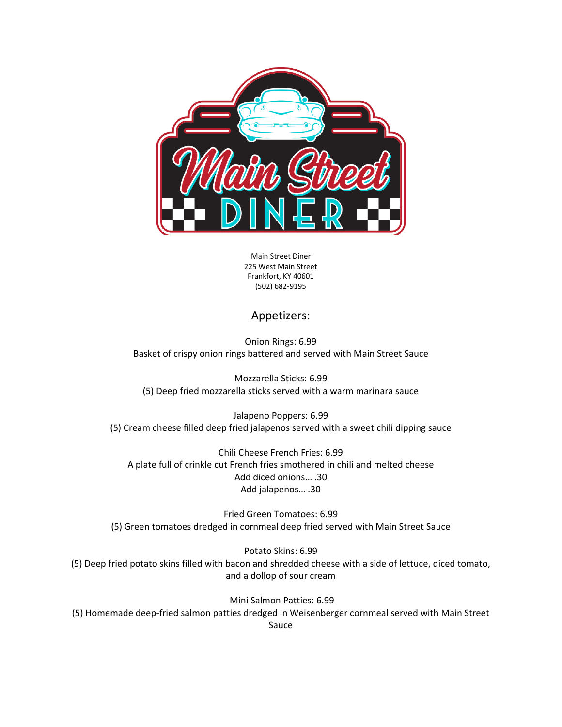

Main Street Diner 225 West Main Street Frankfort, KY 40601 (502) 682-9195

## Appetizers:

Onion Rings: 6.99 Basket of crispy onion rings battered and served with Main Street Sauce

Mozzarella Sticks: 6.99 (5) Deep fried mozzarella sticks served with a warm marinara sauce

Jalapeno Poppers: 6.99 (5) Cream cheese filled deep fried jalapenos served with a sweet chili dipping sauce

Chili Cheese French Fries: 6.99 A plate full of crinkle cut French fries smothered in chili and melted cheese Add diced onions… .30 Add jalapenos… .30

Fried Green Tomatoes: 6.99 (5) Green tomatoes dredged in cornmeal deep fried served with Main Street Sauce

Potato Skins: 6.99 (5) Deep fried potato skins filled with bacon and shredded cheese with a side of lettuce, diced tomato, and a dollop of sour cream

Mini Salmon Patties: 6.99 (5) Homemade deep-fried salmon patties dredged in Weisenberger cornmeal served with Main Street Sauce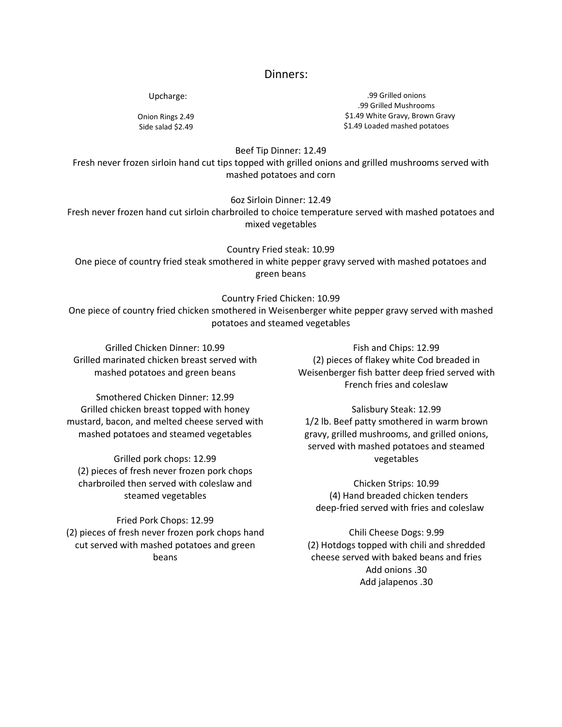#### Dinners:

Upcharge:

Onion Rings 2.49 Side salad \$2.49

.99 Grilled onions .99 Grilled Mushrooms \$1.49 White Gravy, Brown Gravy \$1.49 Loaded mashed potatoes

Beef Tip Dinner: 12.49

Fresh never frozen sirloin hand cut tips topped with grilled onions and grilled mushrooms served with mashed potatoes and corn

6oz Sirloin Dinner: 12.49

Fresh never frozen hand cut sirloin charbroiled to choice temperature served with mashed potatoes and mixed vegetables

Country Fried steak: 10.99 One piece of country fried steak smothered in white pepper gravy served with mashed potatoes and green beans

Country Fried Chicken: 10.99

One piece of country fried chicken smothered in Weisenberger white pepper gravy served with mashed potatoes and steamed vegetables

Grilled Chicken Dinner: 10.99 Grilled marinated chicken breast served with mashed potatoes and green beans

Smothered Chicken Dinner: 12.99 Grilled chicken breast topped with honey mustard, bacon, and melted cheese served with mashed potatoes and steamed vegetables

Grilled pork chops: 12.99 (2) pieces of fresh never frozen pork chops charbroiled then served with coleslaw and steamed vegetables

Fried Pork Chops: 12.99 (2) pieces of fresh never frozen pork chops hand cut served with mashed potatoes and green beans

Fish and Chips: 12.99 (2) pieces of flakey white Cod breaded in Weisenberger fish batter deep fried served with French fries and coleslaw

Salisbury Steak: 12.99 1/2 lb. Beef patty smothered in warm brown gravy, grilled mushrooms, and grilled onions, served with mashed potatoes and steamed vegetables

Chicken Strips: 10.99 (4) Hand breaded chicken tenders deep-fried served with fries and coleslaw

Chili Cheese Dogs: 9.99 (2) Hotdogs topped with chili and shredded cheese served with baked beans and fries Add onions .30 Add jalapenos .30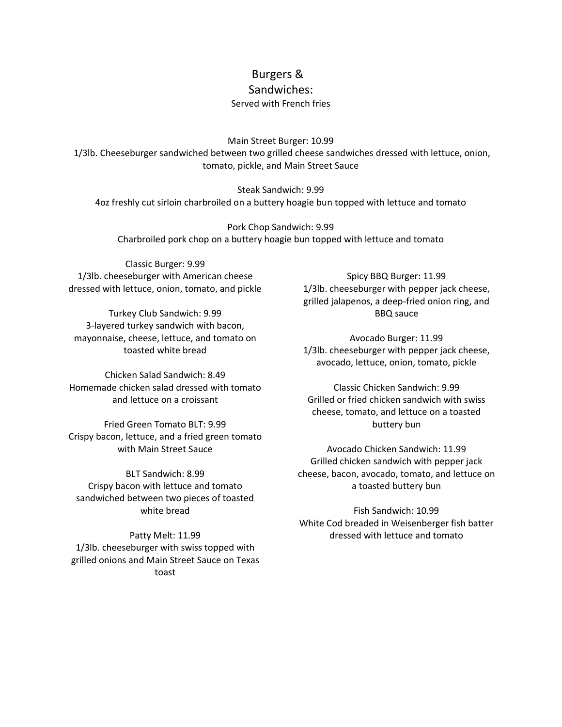# Burgers &

### Sandwiches:

#### Served with French fries

Main Street Burger: 10.99

1/3lb. Cheeseburger sandwiched between two grilled cheese sandwiches dressed with lettuce, onion, tomato, pickle, and Main Street Sauce

Steak Sandwich: 9.99 4oz freshly cut sirloin charbroiled on a buttery hoagie bun topped with lettuce and tomato

Pork Chop Sandwich: 9.99 Charbroiled pork chop on a buttery hoagie bun topped with lettuce and tomato

Classic Burger: 9.99 1/3lb. cheeseburger with American cheese dressed with lettuce, onion, tomato, and pickle

Turkey Club Sandwich: 9.99 3-layered turkey sandwich with bacon, mayonnaise, cheese, lettuce, and tomato on toasted white bread

Chicken Salad Sandwich: 8.49 Homemade chicken salad dressed with tomato and lettuce on a croissant

Fried Green Tomato BLT: 9.99 Crispy bacon, lettuce, and a fried green tomato with Main Street Sauce

BLT Sandwich: 8.99 Crispy bacon with lettuce and tomato sandwiched between two pieces of toasted white bread

Patty Melt: 11.99 1/3lb. cheeseburger with swiss topped with grilled onions and Main Street Sauce on Texas toast

Spicy BBQ Burger: 11.99 1/3lb. cheeseburger with pepper jack cheese, grilled jalapenos, a deep-fried onion ring, and BBQ sauce

Avocado Burger: 11.99 1/3lb. cheeseburger with pepper jack cheese, avocado, lettuce, onion, tomato, pickle

Classic Chicken Sandwich: 9.99 Grilled or fried chicken sandwich with swiss cheese, tomato, and lettuce on a toasted buttery bun

Avocado Chicken Sandwich: 11.99 Grilled chicken sandwich with pepper jack cheese, bacon, avocado, tomato, and lettuce on a toasted buttery bun

Fish Sandwich: 10.99 White Cod breaded in Weisenberger fish batter dressed with lettuce and tomato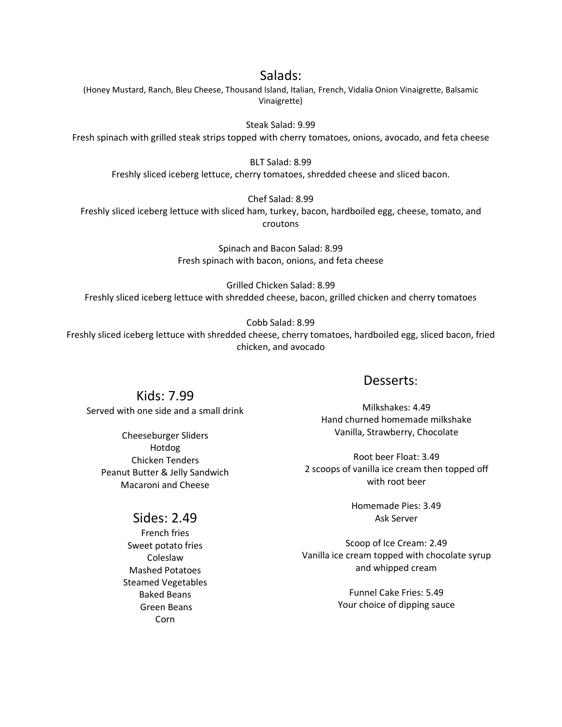## Salads:

(Honey Mustard, Ranch, Bleu Cheese, Thousand Island, Italian, French, Vidalia Onion Vinaigrette, Balsamic Vinaigrette)

Steak Salad: 9.99

Fresh spinach with grilled steak strips topped with cherry tomatoes, onions, avocado, and feta cheese

BLT Salad: 8.99 Freshly sliced iceberg lettuce, cherry tomatoes, shredded cheese and sliced bacon.

Chef Salad: 8.99

Freshly sliced iceberg lettuce with sliced ham, turkey, bacon, hardboiled egg, cheese, tomato, and croutons

> Spinach and Bacon Salad: 8.99 Fresh spinach with bacon, onions, and feta cheese

Grilled Chicken Salad: 8.99 Freshly sliced iceberg lettuce with shredded cheese, bacon, grilled chicken and cherry tomatoes

Cobb Salad: 8.99

Freshly sliced iceberg lettuce with shredded cheese, cherry tomatoes, hardboiled egg, sliced bacon, fried chicken, and avocado

# Kids: 7.99

Served with one side and a small drink

Cheeseburger Sliders Hotdog Chicken Tenders Peanut Butter & Jelly Sandwich Macaroni and Cheese

# Sides: 2.49

French fries Sweet potato fries Coleslaw Mashed Potatoes Steamed Vegetables Baked Beans Green Beans Corn

## Desserts:

Milkshakes: 4.49 Hand churned homemade milkshake Vanilla, Strawberry, Chocolate

Root beer Float: 3.49 2 scoops of vanilla ice cream then topped off with root beer

> Homemade Pies: 3.49 Ask Server

Scoop of Ice Cream: 2.49 Vanilla ice cream topped with chocolate syrup and whipped cream

> Funnel Cake Fries: 5.49 Your choice of dipping sauce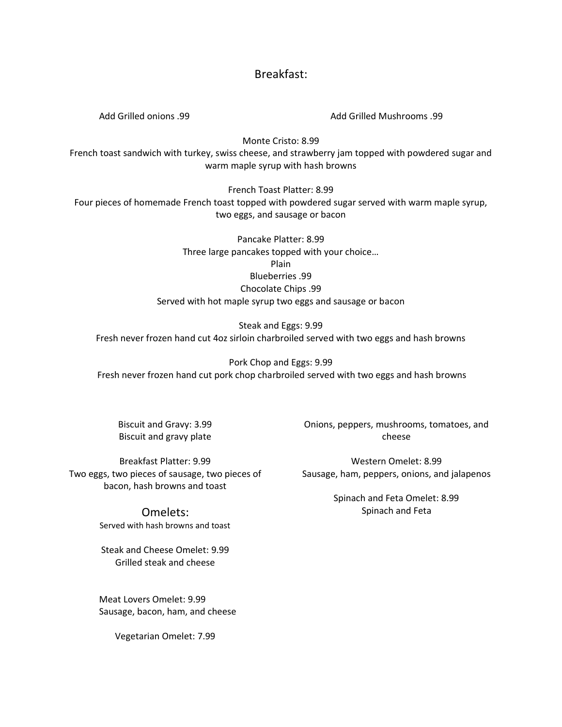## Breakfast:

Add Grilled onions .99 Add Grilled Mushrooms .99

Monte Cristo: 8.99

French toast sandwich with turkey, swiss cheese, and strawberry jam topped with powdered sugar and warm maple syrup with hash browns

French Toast Platter: 8.99 Four pieces of homemade French toast topped with powdered sugar served with warm maple syrup, two eggs, and sausage or bacon

> Pancake Platter: 8.99 Three large pancakes topped with your choice… Plain Blueberries .99 Chocolate Chips .99 Served with hot maple syrup two eggs and sausage or bacon

Steak and Eggs: 9.99 Fresh never frozen hand cut 4oz sirloin charbroiled served with two eggs and hash browns

Pork Chop and Eggs: 9.99 Fresh never frozen hand cut pork chop charbroiled served with two eggs and hash browns

Biscuit and Gravy: 3.99 Biscuit and gravy plate

Breakfast Platter: 9.99 Two eggs, two pieces of sausage, two pieces of bacon, hash browns and toast

> Omelets: Served with hash browns and toast

Steak and Cheese Omelet: 9.99 Grilled steak and cheese

Meat Lovers Omelet: 9.99 Sausage, bacon, ham, and cheese

Vegetarian Omelet: 7.99

Onions, peppers, mushrooms, tomatoes, and cheese

Western Omelet: 8.99 Sausage, ham, peppers, onions, and jalapenos

> Spinach and Feta Omelet: 8.99 Spinach and Feta